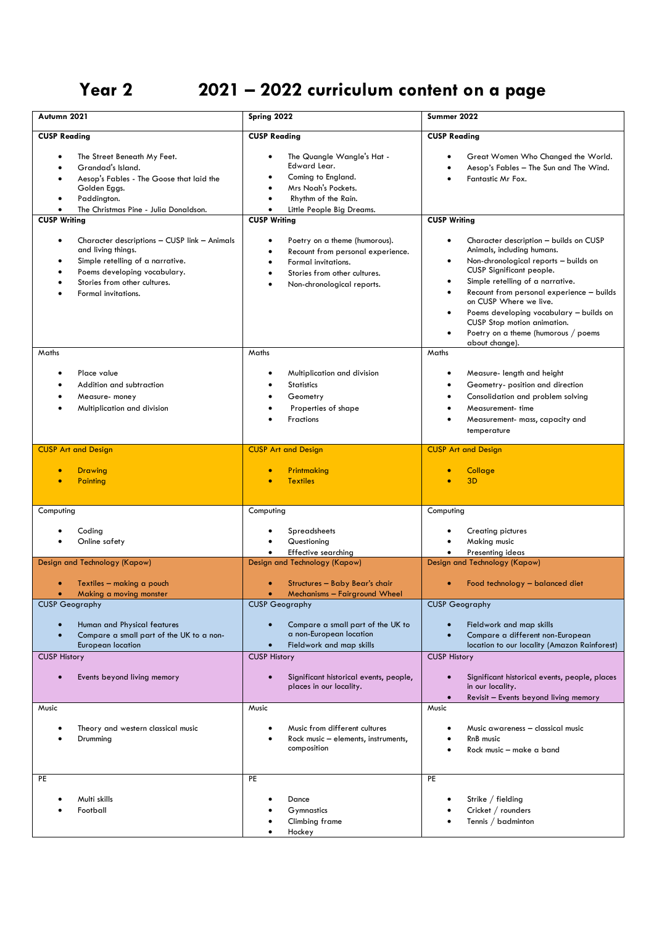## **Year 2 2021 – 2022 curriculum content on a page**

| Autumn 2021                                                                                                                                                                                                             | Spring 2022                                                                                                                                                                                                 | Summer 2022                                                                                                                                                                                                                                                                                                                                                                                                                                                   |
|-------------------------------------------------------------------------------------------------------------------------------------------------------------------------------------------------------------------------|-------------------------------------------------------------------------------------------------------------------------------------------------------------------------------------------------------------|---------------------------------------------------------------------------------------------------------------------------------------------------------------------------------------------------------------------------------------------------------------------------------------------------------------------------------------------------------------------------------------------------------------------------------------------------------------|
| <b>CUSP Reading</b>                                                                                                                                                                                                     | <b>CUSP Reading</b>                                                                                                                                                                                         | <b>CUSP Reading</b>                                                                                                                                                                                                                                                                                                                                                                                                                                           |
| The Street Beneath My Feet.<br>Grandad's Island.<br>$\bullet$<br>Aesop's Fables - The Goose that laid the<br>$\bullet$<br>Golden Eggs.<br>Paddington.<br>٠                                                              | The Quangle Wangle's Hat -<br>Edward Lear.<br>Coming to England.<br>Mrs Noah's Pockets.<br>$\bullet$<br>Rhythm of the Rain.<br>$\bullet$                                                                    | Great Women Who Changed the World.<br>Aesop's Fables - The Sun and The Wind.<br>Fantastic Mr Fox.                                                                                                                                                                                                                                                                                                                                                             |
| The Christmas Pine - Julia Donaldson.<br>$\bullet$<br><b>CUSP Writing</b>                                                                                                                                               | $\bullet$<br>Little People Big Dreams.<br><b>CUSP Writing</b>                                                                                                                                               | <b>CUSP Writing</b>                                                                                                                                                                                                                                                                                                                                                                                                                                           |
| Character descriptions - CUSP link - Animals<br>$\bullet$<br>and living things.<br>Simple retelling of a narrative.<br>$\bullet$<br>Poems developing vocabulary.<br>Stories from other cultures.<br>Formal invitations. | Poetry on a theme (humorous).<br>Recount from personal experience.<br>$\bullet$<br>Formal invitations.<br>$\bullet$<br>Stories from other cultures.<br>$\bullet$<br>Non-chronological reports.<br>$\bullet$ | Character description - builds on CUSP<br>$\bullet$<br>Animals, including humans.<br>Non-chronological reports - builds on<br>$\bullet$<br>CUSP Significant people.<br>Simple retelling of a narrative.<br>$\bullet$<br>Recount from personal experience - builds<br>$\bullet$<br>on CUSP Where we live.<br>Poems developing vocabulary - builds on<br>٠<br>CUSP Stop motion animation.<br>Poetry on a theme (humorous / poems<br>$\bullet$<br>about change). |
| Maths                                                                                                                                                                                                                   | Maths                                                                                                                                                                                                       | Maths                                                                                                                                                                                                                                                                                                                                                                                                                                                         |
| Place value<br>٠<br>Addition and subtraction<br>٠<br>Measure- money<br>Multiplication and division<br>$\bullet$                                                                                                         | Multiplication and division<br><b>Statistics</b><br>Geometry<br>Properties of shape<br><b>Fractions</b>                                                                                                     | Measure- length and height<br>$\bullet$<br>Geometry- position and direction<br>Consolidation and problem solving<br>Measurement- time<br>Measurement- mass, capacity and<br>temperature                                                                                                                                                                                                                                                                       |
| <b>CUSP Art and Design</b>                                                                                                                                                                                              | <b>CUSP Art and Design</b>                                                                                                                                                                                  | <b>CUSP Art and Design</b>                                                                                                                                                                                                                                                                                                                                                                                                                                    |
| <b>Drawing</b><br>$\bullet$<br>Painting<br>ō                                                                                                                                                                            | Printmaking<br><b>Textiles</b>                                                                                                                                                                              | Collage<br>3 <sub>D</sub>                                                                                                                                                                                                                                                                                                                                                                                                                                     |
| Computing                                                                                                                                                                                                               | Computing                                                                                                                                                                                                   | Computing                                                                                                                                                                                                                                                                                                                                                                                                                                                     |
| Coding<br>Online safety                                                                                                                                                                                                 | Spreadsheets<br>Questioning<br>Effective searching<br>$\bullet$                                                                                                                                             | Creating pictures<br>٠<br>Making music<br>Presenting ideas<br>$\bullet$                                                                                                                                                                                                                                                                                                                                                                                       |
| Design and Technology (Kapow)                                                                                                                                                                                           | Design and Technology (Kapow)                                                                                                                                                                               | Design and Technology (Kapow)                                                                                                                                                                                                                                                                                                                                                                                                                                 |
| Textiles - making a pouch<br>Making a moving monster<br>$\bullet$                                                                                                                                                       | Structures - Baby Bear's chair<br>Mechanisms - Fairground Wheel<br>$\bullet$                                                                                                                                | Food technology - balanced diet<br>$\bullet$                                                                                                                                                                                                                                                                                                                                                                                                                  |
| <b>CUSP Geography</b>                                                                                                                                                                                                   | <b>CUSP Geography</b>                                                                                                                                                                                       | <b>CUSP Geography</b>                                                                                                                                                                                                                                                                                                                                                                                                                                         |
| Human and Physical features<br>Compare a small part of the UK to a non-<br>European location<br><b>CUSP History</b>                                                                                                     | Compare a small part of the UK to<br>a non-European location<br>Fieldwork and map skills<br><b>CUSP History</b>                                                                                             | Fieldwork and map skills<br>Compare a different non-European<br>location to our locality (Amazon Rainforest)<br><b>CUSP History</b>                                                                                                                                                                                                                                                                                                                           |
| Events beyond living memory                                                                                                                                                                                             | Significant historical events, people,<br>places in our locality.                                                                                                                                           | Significant historical events, people, places<br>$\bullet$<br>in our locality.<br>Revisit - Events beyond living memory<br>$\bullet$                                                                                                                                                                                                                                                                                                                          |
| Music                                                                                                                                                                                                                   | Music                                                                                                                                                                                                       | Music                                                                                                                                                                                                                                                                                                                                                                                                                                                         |
| Theory and western classical music<br>٠<br>Drumming                                                                                                                                                                     | Music from different cultures<br>Rock music - elements, instruments,<br>composition                                                                                                                         | Music awareness - classical music<br>٠<br>RnB music<br>Rock music - make a band                                                                                                                                                                                                                                                                                                                                                                               |
| PE<br>Multi skills<br>Football                                                                                                                                                                                          | PE<br>Dance<br>Gymnastics<br>Climbing frame<br>Hockey                                                                                                                                                       | PE<br>Strike / fielding<br>Cricket / rounders<br>Tennis / badminton                                                                                                                                                                                                                                                                                                                                                                                           |